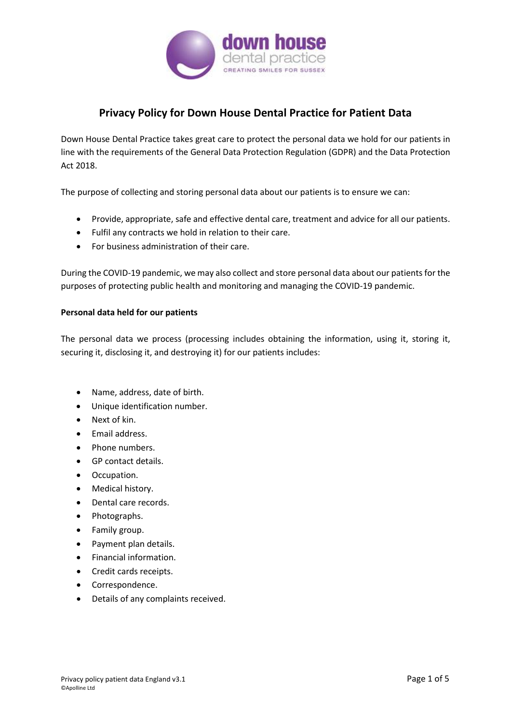

# **Privacy Policy for Down House Dental Practice for Patient Data**

Down House Dental Practice takes great care to protect the personal data we hold for our patients in line with the requirements of the General Data Protection Regulation (GDPR) and the Data Protection Act 2018.

The purpose of collecting and storing personal data about our patients is to ensure we can:

- Provide, appropriate, safe and effective dental care, treatment and advice for all our patients.
- Fulfil any contracts we hold in relation to their care.
- For business administration of their care.

During the COVID-19 pandemic, we may also collect and store personal data about our patients for the purposes of protecting public health and monitoring and managing the COVID-19 pandemic.

### **Personal data held for our patients**

The personal data we process (processing includes obtaining the information, using it, storing it, securing it, disclosing it, and destroying it) for our patients includes:

- Name, address, date of birth.
- Unique identification number.
- Next of kin.
- Email address.
- Phone numbers.
- GP contact details.
- Occupation.
- Medical history.
- Dental care records.
- Photographs.
- Family group.
- Payment plan details.
- Financial information.
- Credit cards receipts.
- Correspondence.
- Details of any complaints received.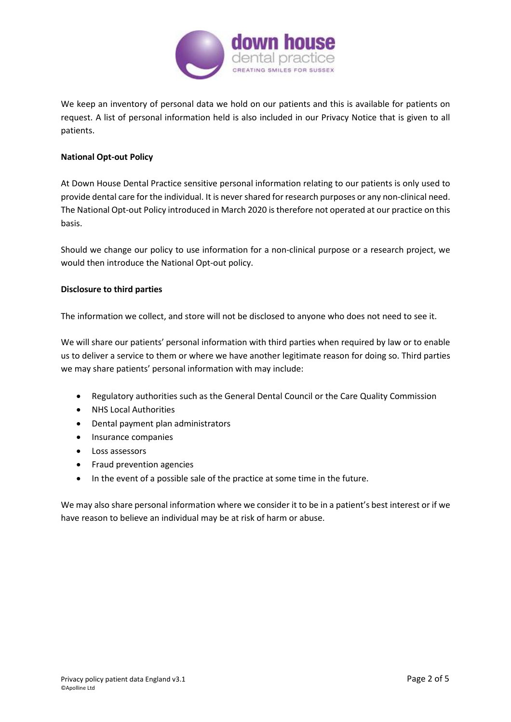

We keep an inventory of personal data we hold on our patients and this is available for patients on request. A list of personal information held is also included in our Privacy Notice that is given to all patients.

## **National Opt-out Policy**

At Down House Dental Practice sensitive personal information relating to our patients is only used to provide dental care for the individual. It is never shared for research purposes or any non-clinical need. The National Opt-out Policy introduced in March 2020 is therefore not operated at our practice on this basis.

Should we change our policy to use information for a non-clinical purpose or a research project, we would then introduce the National Opt-out policy.

## **Disclosure to third parties**

The information we collect, and store will not be disclosed to anyone who does not need to see it.

We will share our patients' personal information with third parties when required by law or to enable us to deliver a service to them or where we have another legitimate reason for doing so. Third parties we may share patients' personal information with may include:

- Regulatory authorities such as the General Dental Council or the Care Quality Commission
- NHS Local Authorities
- Dental payment plan administrators
- Insurance companies
- Loss assessors
- Fraud prevention agencies
- In the event of a possible sale of the practice at some time in the future.

We may also share personal information where we consider it to be in a patient's best interest or if we have reason to believe an individual may be at risk of harm or abuse.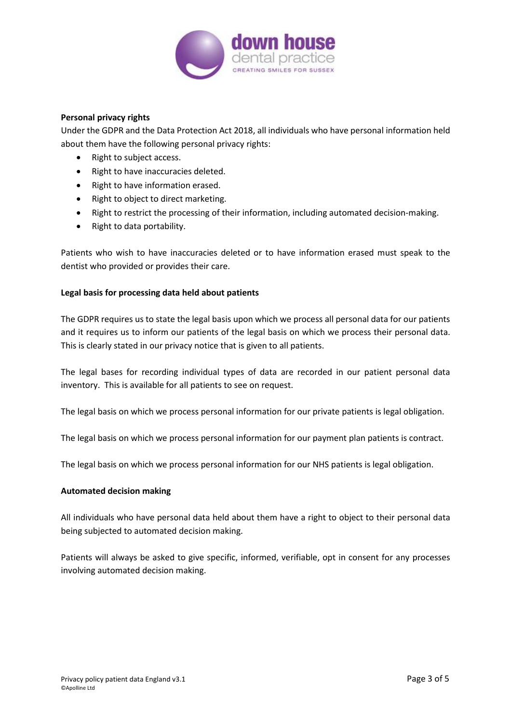

## **Personal privacy rights**

Under the GDPR and the Data Protection Act 2018, all individuals who have personal information held about them have the following personal privacy rights:

- Right to subject access.
- Right to have inaccuracies deleted.
- Right to have information erased.
- Right to object to direct marketing.
- Right to restrict the processing of their information, including automated decision-making.
- Right to data portability.

Patients who wish to have inaccuracies deleted or to have information erased must speak to the dentist who provided or provides their care.

## **Legal basis for processing data held about patients**

The GDPR requires us to state the legal basis upon which we process all personal data for our patients and it requires us to inform our patients of the legal basis on which we process their personal data. This is clearly stated in our privacy notice that is given to all patients.

The legal bases for recording individual types of data are recorded in our patient personal data inventory. This is available for all patients to see on request.

The legal basis on which we process personal information for our private patients is legal obligation.

The legal basis on which we process personal information for our payment plan patients is contract.

The legal basis on which we process personal information for our NHS patients is legal obligation.

### **Automated decision making**

All individuals who have personal data held about them have a right to object to their personal data being subjected to automated decision making.

Patients will always be asked to give specific, informed, verifiable, opt in consent for any processes involving automated decision making.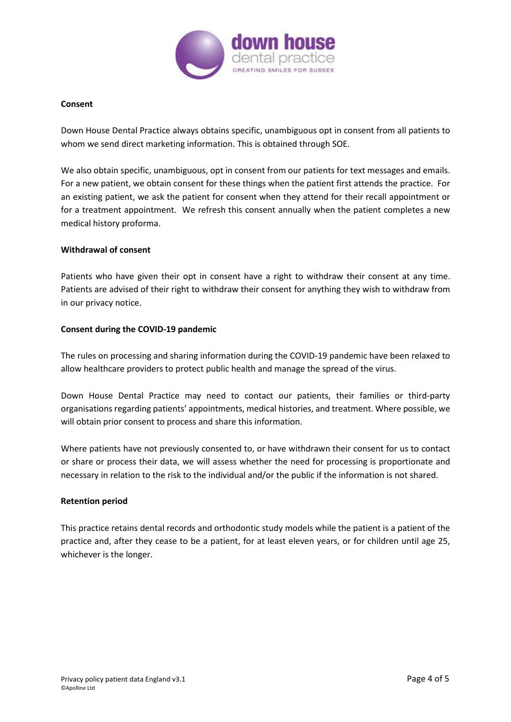

#### **Consent**

Down House Dental Practice always obtains specific, unambiguous opt in consent from all patients to whom we send direct marketing information. This is obtained through SOE.

We also obtain specific, unambiguous, opt in consent from our patients for text messages and emails. For a new patient, we obtain consent for these things when the patient first attends the practice. For an existing patient, we ask the patient for consent when they attend for their recall appointment or for a treatment appointment. We refresh this consent annually when the patient completes a new medical history proforma.

#### **Withdrawal of consent**

Patients who have given their opt in consent have a right to withdraw their consent at any time. Patients are advised of their right to withdraw their consent for anything they wish to withdraw from in our privacy notice.

### **Consent during the COVID-19 pandemic**

The rules on processing and sharing information during the COVID-19 pandemic have been relaxed to allow healthcare providers to protect public health and manage the spread of the virus.

Down House Dental Practice may need to contact our patients, their families or third-party organisations regarding patients' appointments, medical histories, and treatment. Where possible, we will obtain prior consent to process and share this information.

Where patients have not previously consented to, or have withdrawn their consent for us to contact or share or process their data, we will assess whether the need for processing is proportionate and necessary in relation to the risk to the individual and/or the public if the information is not shared.

#### **Retention period**

This practice retains dental records and orthodontic study models while the patient is a patient of the practice and, after they cease to be a patient, for at least eleven years, or for children until age 25, whichever is the longer.